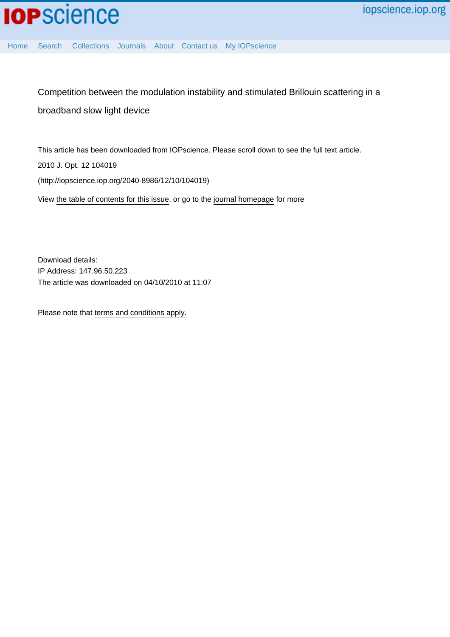

[Home](http://iopscience.iop.org/) [Search](http://iopscience.iop.org/search) [Collections](http://iopscience.iop.org/collections) [Journals](http://iopscience.iop.org/journals) [About](http://iopscience.iop.org/page/aboutioppublishing) [Contact us](http://iopscience.iop.org/contact) [My IOPscience](http://iopscience.iop.org/myiopscience)

Competition between the modulation instability and stimulated Brillouin scattering in a broadband slow light device

This article has been downloaded from IOPscience. Please scroll down to see the full text article. 2010 J. Opt. 12 104019 (http://iopscience.iop.org/2040-8986/12/10/104019) View [the table of contents for this issue](http://iopscience.iop.org/2040-8986/12/10), or go to the [journal homepage](http://iopscience.iop.org/2040-8986) for more

Download details: IP Address: 147.96.50.223 The article was downloaded on 04/10/2010 at 11:07

Please note that [terms and conditions apply.](http://iopscience.iop.org/page/terms)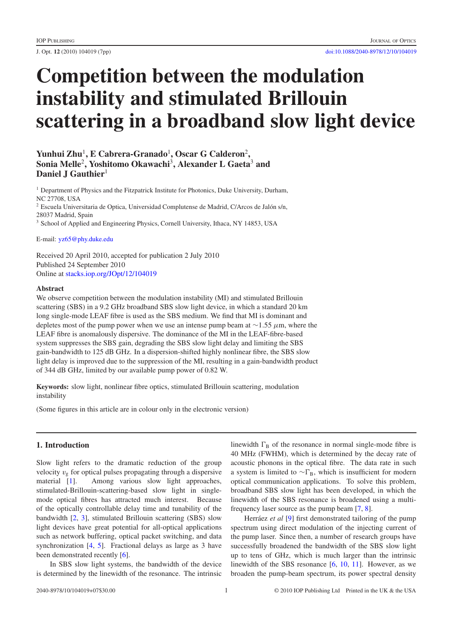# **Competition between the modulation instability and stimulated Brillouin scattering in a broadband slow light device**

# Yunhui Zhu<sup>1</sup>, E Cabrera-Granado<sup>1</sup>, Oscar G Calderon<sup>2</sup>, **Sonia Melle**<sup>2</sup> **, Yoshitomo Okawachi**<sup>3</sup> **, Alexander L Gaeta**<sup>3</sup> **and Daniel J Gauthier**<sup>1</sup>

<sup>1</sup> Department of Physics and the Fitzpatrick Institute for Photonics, Duke University, Durham, NC 27708, USA  $^2$  Escuela Universitaria de Optica, Universidad Complutense de Madrid, C/Arcos de Jalón s/n, 28037 Madrid, Spain <sup>3</sup> School of Applied and Engineering Physics, Cornell University, Ithaca, NY 14853, USA

E-mail: [yz65@phy.duke.edu](mailto:yz65@phy.duke.edu)

Received 20 April 2010, accepted for publication 2 July 2010 Published 24 September 2010 Online at [stacks.iop.org/JOpt/12/104019](http://stacks.iop.org/JOpt/12/104019)

## **Abstract**

We observe competition between the modulation instability (MI) and stimulated Brillouin scattering (SBS) in a 9.2 GHz broadband SBS slow light device, in which a standard 20 km long single-mode LEAF fibre is used as the SBS medium. We find that MI is dominant and depletes most of the pump power when we use an intense pump beam at  $\sim$ 1.55  $\mu$ m, where the LEAF fibre is anomalously dispersive. The dominance of the MI in the LEAF-fibre-based system suppresses the SBS gain, degrading the SBS slow light delay and limiting the SBS gain-bandwidth to 125 dB GHz. In a dispersion-shifted highly nonlinear fibre, the SBS slow light delay is improved due to the suppression of the MI, resulting in a gain-bandwidth product of 344 dB GHz, limited by our available pump power of 0.82 W.

**Keywords:** slow light, nonlinear fibre optics, stimulated Brillouin scattering, modulation instability

(Some figures in this article are in colour only in the electronic version)

# **1. Introduction**

Slow light refers to the dramatic reduction of the group velocity  $v_g$  for optical pulses propagating through a dispersive material [\[1\]](#page-7-0). Among various slow light approaches, stimulated-Brillouin-scattering-based slow light in singlemode optical fibres has attracted much interest. Because of the optically controllable delay time and tunability of the bandwidth [\[2,](#page-7-1) [3\]](#page-7-2), stimulated Brillouin scattering (SBS) slow light devices have great potential for all-optical applications such as network buffering, optical packet switching, and data synchronization [\[4,](#page-7-3) [5\]](#page-7-4). Fractional delays as large as 3 have been demonstrated recently [\[6\]](#page-7-5).

In SBS slow light systems, the bandwidth of the device is determined by the linewidth of the resonance. The intrinsic

linewidth  $\Gamma_B$  of the resonance in normal single-mode fibre is 40 MHz (FWHM), which is determined by the decay rate of acoustic phonons in the optical fibre. The data rate in such a system is limited to  $\sim \Gamma_B$ , which is insufficient for modern optical communication applications. To solve this problem, broadband SBS slow light has been developed, in which the linewidth of the SBS resonance is broadened using a multifrequency laser source as the pump beam [\[7,](#page-7-6) [8\]](#page-7-7).

Herráez *et al* [\[9\]](#page-7-8) first demonstrated tailoring of the pump spectrum using direct modulation of the injecting current of the pump laser. Since then, a number of research groups have successfully broadened the bandwidth of the SBS slow light up to tens of GHz, which is much larger than the intrinsic linewidth of the SBS resonance [\[6,](#page-7-5) [10,](#page-7-9) [11\]](#page-7-10). However, as we broaden the pump-beam spectrum, its power spectral density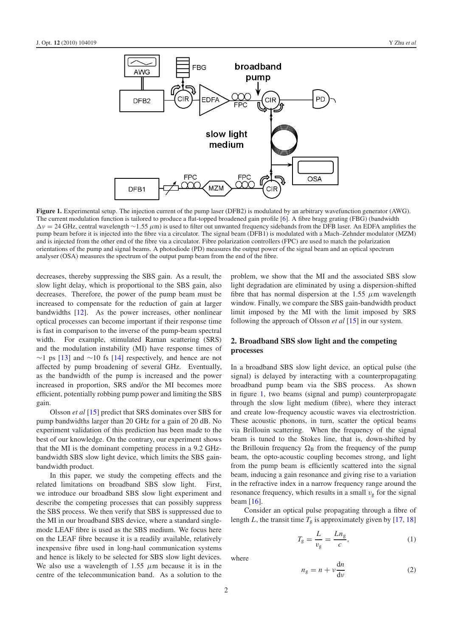<span id="page-2-0"></span>

**Figure 1.** Experimental setup. The injection current of the pump laser (DFB2) is modulated by an arbitrary wavefunction generator (AWG). The current modulation function is tailored to produce a flat-topped broadened gain profile [\[6\]](#page-7-5). A fibre bragg grating (FBG) (bandwidth  $\Delta v = 24$  GHz, central wavelength ~1.55  $\mu$ m) is used to filter out unwanted frequency sidebands from the DFB laser. An EDFA amplifies the pump beam before it is injected into the fibre via a circulator. The signal beam (DFB1) is modulated with a Mach–Zehnder modulator (MZM) and is injected from the other end of the fibre via a circulator. Fibre polarization controllers (FPC) are used to match the polarization orientations of the pump and signal beams. A photodiode (PD) measures the output power of the signal beam and an optical spectrum analyser (OSA) measures the spectrum of the output pump beam from the end of the fibre.

decreases, thereby suppressing the SBS gain. As a result, the slow light delay, which is proportional to the SBS gain, also decreases. Therefore, the power of the pump beam must be increased to compensate for the reduction of gain at larger bandwidths [\[12\]](#page-7-11). As the power increases, other nonlinear optical processes can become important if their response time is fast in comparison to the inverse of the pump-beam spectral width. For example, stimulated Raman scattering (SRS) and the modulation instability (MI) have response times of  $\sim$ 1 ps [\[13\]](#page-7-12) and  $\sim$ 10 fs [\[14\]](#page-7-13) respectively, and hence are not affected by pump broadening of several GHz. Eventually, as the bandwidth of the pump is increased and the power increased in proportion, SRS and/or the MI becomes more efficient, potentially robbing pump power and limiting the SBS gain.

Olsson *et al* [\[15\]](#page-7-14) predict that SRS dominates over SBS for pump bandwidths larger than 20 GHz for a gain of 20 dB. No experiment validation of this prediction has been made to the best of our knowledge. On the contrary, our experiment shows that the MI is the dominant competing process in a 9.2 GHzbandwidth SBS slow light device, which limits the SBS gainbandwidth product.

In this paper, we study the competing effects and the related limitations on broadband SBS slow light. First, we introduce our broadband SBS slow light experiment and describe the competing processes that can possibly suppress the SBS process. We then verify that SBS is suppressed due to the MI in our broadband SBS device, where a standard singlemode LEAF fibre is used as the SBS medium. We focus here on the LEAF fibre because it is a readily available, relatively inexpensive fibre used in long-haul communication systems and hence is likely to be selected for SBS slow light devices. We also use a wavelength of 1.55  $\mu$ m because it is in the centre of the telecommunication band. As a solution to the problem, we show that the MI and the associated SBS slow light degradation are eliminated by using a dispersion-shifted fibre that has normal dispersion at the 1.55  $\mu$ m wavelength window. Finally, we compare the SBS gain-bandwidth product limit imposed by the MI with the limit imposed by SRS following the approach of Olsson *et al* [\[15\]](#page-7-14) in our system.

## **2. Broadband SBS slow light and the competing processes**

In a broadband SBS slow light device, an optical pulse (the signal) is delayed by interacting with a counterpropagating broadband pump beam via the SBS process. As shown in figure [1,](#page-2-0) two beams (signal and pump) counterpropagate through the slow light medium (fibre), where they interact and create low-frequency acoustic waves via electrostriction. These acoustic phonons, in turn, scatter the optical beams via Brillouin scattering. When the frequency of the signal beam is tuned to the Stokes line, that is, down-shifted by the Brillouin frequency  $\Omega_B$  from the frequency of the pump beam, the opto-acoustic coupling becomes strong, and light from the pump beam is efficiently scattered into the signal beam, inducing a gain resonance and giving rise to a variation in the refractive index in a narrow frequency range around the resonance frequency, which results in a small  $v<sub>g</sub>$  for the signal beam [\[16\]](#page-7-15).

Consider an optical pulse propagating through a fibre of length *L*, the transit time  $T_g$  is approximately given by [\[17,](#page-7-16) [18\]](#page-7-17)

<span id="page-2-1"></span>
$$
T_g = \frac{L}{v_g} = \frac{Ln_g}{c},\tag{1}
$$

where

$$
n_{\rm g} = n + \nu \frac{\mathrm{d}n}{\mathrm{d}\nu} \tag{2}
$$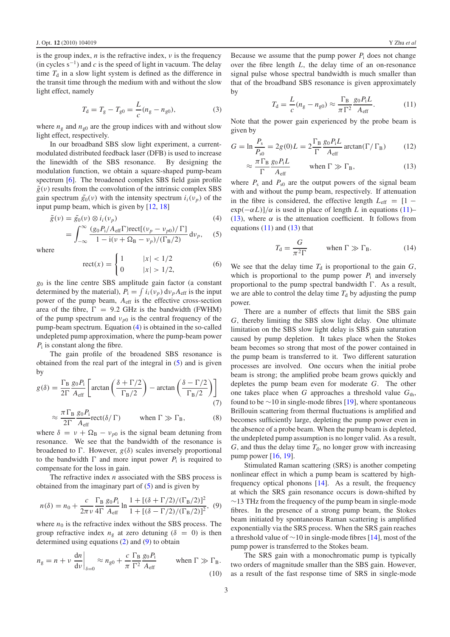is the group index,  $n$  is the refractive index,  $\nu$  is the frequency  $(in cycles s<sup>-1</sup>)$  and *c* is the speed of light in vacuum. The delay time  $T<sub>d</sub>$  in a slow light system is defined as the difference in the transit time through the medium with and without the slow light effect, namely

<span id="page-3-0"></span>
$$
T_{\rm d} = T_{\rm g} - T_{\rm g0} = \frac{L}{c} (n_{\rm g} - n_{\rm g0}),\tag{3}
$$

where  $n_g$  and  $n_{g0}$  are the group indices with and without slow light effect, respectively.

In our broadband SBS slow light experiment, a currentmodulated distributed feedback laser (DFB) is used to increase the linewidth of the SBS resonance. By designing the modulation function, we obtain a square-shaped pump-beam spectrum [\[6\]](#page-7-5). The broadened complex SBS field gain profile  $\tilde{g}(v)$  results from the convolution of the intrinsic complex SBS gain spectrum  $\tilde{g}_0(v)$  with the intensity spectrum  $i_i(v_p)$  of the input pump beam, which is given by [\[12,](#page-7-11) [18\]](#page-7-17)

$$
\tilde{g}(\nu) = \tilde{g}_0(\nu) \otimes i_i(\nu_p) \tag{4}
$$

$$
= \int_{-\infty}^{\infty} \frac{(g_0 P_i / A_{\text{eff}} \Gamma) \text{rect}[(\nu_p - \nu_{p0}) / \Gamma]}{1 - i(\nu + \Omega_B - \nu_p) / (\Gamma_B / 2)} d\nu_p, \quad (5)
$$

where

$$
rect(x) = \begin{cases} 1 & |x| < 1/2 \\ 0 & |x| > 1/2, \end{cases}
$$
 (6)

*g*<sup>0</sup> is the line centre SBS amplitude gain factor (a constant determined by the material),  $P_i = \int i_i(v_p) dv_p A_{eff}$  is the input power of the pump beam,  $A_{\text{eff}}$  is the effective cross-section area of the fibre,  $\Gamma = 9.2$  GHz is the bandwidth (FWHM) of the pump spectrum and  $v_{p0}$  is the central frequency of the pump-beam spectrum. Equation [\(4\)](#page-3-0) is obtained in the so-called undepleted pump approximation, where the pump-beam power *P*<sub>i</sub> is constant along the fibre.

The gain profile of the broadened SBS resonance is obtained from the real part of the integral in [\(5\)](#page-3-1) and is given by

$$
g(\delta) = \frac{\Gamma_{\rm B}}{2\Gamma} \frac{g_0 P_{\rm i}}{A_{\rm eff}} \left[ \arctan\left(\frac{\delta + \Gamma/2}{\Gamma_{\rm B}/2}\right) - \arctan\left(\frac{\delta - \Gamma/2}{\Gamma_{\rm B}/2}\right) \right]
$$
(7)

$$
\approx \frac{\pi \Gamma_B}{2\Gamma} \frac{g_0 P_i}{A_{\text{eff}}} \text{rect}(\delta/\Gamma) \qquad \text{when } \Gamma \gg \Gamma_B,
$$
 (8)

<span id="page-3-2"></span>where  $\delta = v + \Omega_B - v_{p0}$  is the signal beam detuning from resonance. We see that the bandwidth of the resonance is broadened to  $\Gamma$ . However,  $g(\delta)$  scales inversely proportional to the bandwidth  $\Gamma$  and more input power  $P_i$  is required to compensate for the loss in gain.

The refractive index *n* associated with the SBS process is obtained from the imaginary part of  $(5)$  and is given by

$$
n(\delta) = n_0 + \frac{c}{2\pi\nu} \frac{\Gamma_B}{4\Gamma} \frac{g_0 P_1}{A_{\text{eff}}} \ln \frac{1 + [(\delta + \Gamma/2)/(\Gamma_B/2)]^2}{1 + [(\delta - \Gamma/2)/(\Gamma_B/2)]^2},
$$
(9)

where  $n_0$  is the refractive index without the SBS process. The group refractive index  $n<sub>g</sub>$  at zero detuning ( $\delta = 0$ ) is then determined using equations [\(2\)](#page-2-1) and [\(9\)](#page-3-2) to obtain

$$
n_{\rm g} = n + \nu \left. \frac{\mathrm{d}n}{\mathrm{d}\nu} \right|_{\delta=0} \approx n_{\rm g0} + \frac{c}{\pi} \frac{\Gamma_{\rm B}}{\Gamma^2} \frac{g_0 P_{\rm i}}{A_{\rm eff}} \qquad \text{when } \Gamma \gg \Gamma_{\rm B}. \tag{10}
$$

<span id="page-3-3"></span>Because we assume that the pump power  $P_i$  does not change over the fibre length *L*, the delay time of an on-resonance signal pulse whose spectral bandwidth is much smaller than that of the broadband SBS resonance is given approximately by

<span id="page-3-5"></span>
$$
T_{\rm d} = \frac{L}{c}(n_{\rm g} - n_{\rm g0}) \approx \frac{\Gamma_{\rm B}}{\pi \Gamma^2} \frac{g_0 P_{\rm i} L}{A_{\rm eff}}.\tag{11}
$$

<span id="page-3-4"></span>Note that the power gain experienced by the probe beam is given by

$$
G = \ln \frac{P_s}{P_{s0}} = 2g(0)L = 2\frac{\Gamma_B}{\Gamma} \frac{g_0 P_i L}{A_{\text{eff}}} \arctan(\Gamma/\Gamma_B)
$$
(12)

$$
\approx \frac{\pi \Gamma_B}{\Gamma} \frac{g_0 P_i L}{A_{\text{eff}}}
$$
 when  $\Gamma \gg \Gamma_B$ , (13)

<span id="page-3-1"></span>where  $P_s$  and  $P_{s0}$  are the output powers of the signal beam with and without the pump beam, respectively. If attenuation in the fibre is considered, the effective length  $L_{\text{eff}} = [1 \exp(-\alpha L)/\alpha$  is used in place of length *L* in equations [\(11\)](#page-3-3)– [\(13\)](#page-3-4), where  $\alpha$  is the attenuation coefficient. It follows from equations  $(11)$  and  $(13)$  that

$$
T_{\rm d} = \frac{G}{\pi^2 \Gamma} \qquad \text{when } \Gamma \gg \Gamma_{\rm B}. \tag{14}
$$

We see that the delay time  $T_d$  is proportional to the gain  $G$ , which is proportional to the pump power  $P_i$  and inversely proportional to the pump spectral bandwidth  $\Gamma$ . As a result, we are able to control the delay time  $T_d$  by adjusting the pump power.

There are a number of effects that limit the SBS gain *G*, thereby limiting the SBS slow light delay. One ultimate limitation on the SBS slow light delay is SBS gain saturation caused by pump depletion. It takes place when the Stokes beam becomes so strong that most of the power contained in the pump beam is transferred to it. Two different saturation processes are involved. One occurs when the initial probe beam is strong; the amplified probe beam grows quickly and depletes the pump beam even for moderate *G*. The other one takes place when  $G$  approaches a threshold value  $G<sub>th</sub>$ , found to be  $\sim$ 10 in single-mode fibres [\[19\]](#page-7-18), where spontaneous Brillouin scattering from thermal fluctuations is amplified and becomes sufficiently large, depleting the pump power even in the absence of a probe beam. When the pump beam is depleted, the undepleted pump assumption is no longer valid. As a result,  $G$ , and thus the delay time  $T<sub>d</sub>$ , no longer grow with increasing pump power [\[16,](#page-7-15) [19\]](#page-7-18).

Stimulated Raman scattering (SRS) is another competing nonlinear effect in which a pump beam is scattered by highfrequency optical phonons [\[14\]](#page-7-13). As a result, the frequency at which the SRS gain resonance occurs is down-shifted by  $\sim$ 13 THz from the frequency of the pump beam in single-mode fibres. In the presence of a strong pump beam, the Stokes beam initiated by spontaneous Raman scattering is amplified exponentially via the SRS process. When the SRS gain reaches a threshold value of ∼10 in single-mode fibres [\[14\]](#page-7-13), most of the pump power is transferred to the Stokes beam.

The SRS gain with a monochromatic pump is typically two orders of magnitude smaller than the SBS gain. However, as a result of the fast response time of SRS in single-mode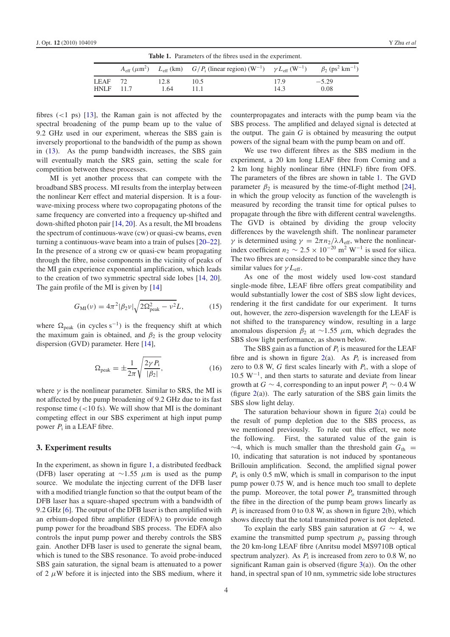<span id="page-4-0"></span>

| <b>Table 1.</b> Parameters of the fibres used in the experiment. |  |              |                                                                                                                                                                                      |              |                 |
|------------------------------------------------------------------|--|--------------|--------------------------------------------------------------------------------------------------------------------------------------------------------------------------------------|--------------|-----------------|
|                                                                  |  |              | $A_{\text{eff}}(\mu \text{m}^2)$ $L_{\text{eff}}(\text{km})$ $G/P_i$ (linear region) $(\text{W}^{-1})$ $\gamma L_{\text{eff}}(\text{W}^{-1})$ $\beta_2 (\text{ps}^2 \text{km}^{-1})$ |              |                 |
| $LEAF$ 72<br>$HNI.F$ 11.7                                        |  | 12.8<br>1.64 | 10.5<br>11 1                                                                                                                                                                         | 17.9<br>14.3 | $-5.29$<br>0.08 |

fibres  $(<1$  ps)  $[13]$ , the Raman gain is not affected by the spectral broadening of the pump beam up to the value of 9.2 GHz used in our experiment, whereas the SBS gain is inversely proportional to the bandwidth of the pump as shown in [\(13\)](#page-3-4). As the pump bandwidth increases, the SBS gain will eventually match the SRS gain, setting the scale for competition between these processes.

MI is yet another process that can compete with the broadband SBS process. MI results from the interplay between the nonlinear Kerr effect and material dispersion. It is a fourwave-mixing process where two copropagating photons of the same frequency are converted into a frequency up-shifted and down-shifted photon pair [\[14,](#page-7-13) [20\]](#page-7-19). As a result, the MI broadens the spectrum of continuous-wave (cw) or quasi-cw beams, even turning a continuous-wave beam into a train of pulses [\[20–22\]](#page-7-19). In the presence of a strong cw or quasi-cw beam propagating through the fibre, noise components in the vicinity of peaks of the MI gain experience exponential amplification, which leads to the creation of two symmetric spectral side lobes [\[14,](#page-7-13) [20\]](#page-7-19). The gain profile of the MI is given by  $[14]$ 

<span id="page-4-2"></span><span id="page-4-1"></span>
$$
G_{\rm MI}(\nu) = 4\pi^2 |\beta_2 \nu| \sqrt{2\Omega_{\rm peak}^2 - \nu^2} L,\tag{15}
$$

where  $\Omega_{\text{peak}}$  (in cycles s<sup>-1</sup>) is the frequency shift at which the maximum gain is obtained, and  $\beta_2$  is the group velocity dispersion (GVD) parameter. Here [\[14\]](#page-7-13),

$$
\Omega_{\text{peak}} = \pm \frac{1}{2\pi} \sqrt{\frac{2\gamma P_{\text{i}}}{|\beta_2|}},\tag{16}
$$

where  $\gamma$  is the nonlinear parameter. Similar to SRS, the MI is not affected by the pump broadening of 9.2 GHz due to its fast response time  $(<10 \text{ fs})$ . We will show that MI is the dominant competing effect in our SBS experiment at high input pump power  $P_i$  in a LEAF fibre.

#### **3. Experiment results**

In the experiment, as shown in figure [1,](#page-2-0) a distributed feedback (DFB) laser operating at  $\sim$ 1.55  $\mu$ m is used as the pump source. We modulate the injecting current of the DFB laser with a modified triangle function so that the output beam of the DFB laser has a square-shaped spectrum with a bandwidth of 9.2 GHz [\[6\]](#page-7-5). The output of the DFB laser is then amplified with an erbium-doped fibre amplifier (EDFA) to provide enough pump power for the broadband SBS process. The EDFA also controls the input pump power and thereby controls the SBS gain. Another DFB laser is used to generate the signal beam, which is tuned to the SBS resonance. To avoid probe-induced SBS gain saturation, the signal beam is attenuated to a power of 2  $\mu$ W before it is injected into the SBS medium, where it counterpropagates and interacts with the pump beam via the SBS process. The amplified and delayed signal is detected at the output. The gain *G* is obtained by measuring the output powers of the signal beam with the pump beam on and off.

We use two different fibres as the SBS medium in the experiment, a 20 km long LEAF fibre from Corning and a 2 km long highly nonlinear fibre (HNLF) fibre from OFS. The parameters of the fibres are shown in table [1.](#page-4-0) The GVD parameter  $\beta_2$  is measured by the time-of-flight method [\[24\]](#page-7-20), in which the group velocity as function of the wavelength is measured by recording the transit time for optical pulses to propagate through the fibre with different central wavelengths. The GVD is obtained by dividing the group velocity differences by the wavelength shift. The nonlinear parameter *γ* is determined using  $γ = 2πn_2/λA<sub>eff</sub>$ , where the nonlinearindex coefficient  $n_2 \sim 2.5 \times 10^{-20}$  m<sup>2</sup> W<sup>-1</sup> is used for silica. The two fibres are considered to be comparable since they have similar values for  $\gamma L_{\text{eff}}$ .

As one of the most widely used low-cost standard single-mode fibre, LEAF fibre offers great compatibility and would substantially lower the cost of SBS slow light devices, rendering it the first candidate for our experiment. It turns out, however, the zero-dispersion wavelength for the LEAF is not shifted to the transparency window, resulting in a large anomalous dispersion  $β_2$  at ~1.55 μm, which degrades the SBS slow light performance, as shown below.

The SBS gain as a function of  $P_i$  is measured for the LEAF fibre and is shown in figure  $2(a)$  $2(a)$ . As  $P_i$  is increased from zero to 0.8 W,  $G$  first scales linearly with  $P_i$ , with a slope of 10.5 W−1, and then starts to saturate and deviate from linear growth at *G* ∼ 4, corresponding to an input power  $P_i$  ~ 0.4 W (figure  $2(a)$  $2(a)$ ). The early saturation of the SBS gain limits the SBS slow light delay.

The saturation behaviour shown in figure  $2(a)$  $2(a)$  could be the result of pump depletion due to the SBS process, as we mentioned previously. To rule out this effect, we note the following. First, the saturated value of the gain is  $\sim$ 4, which is much smaller than the threshold gain  $G_{th}$  = 10, indicating that saturation is not induced by spontaneous Brillouin amplification. Second, the amplified signal power *P*<sup>s</sup> is only 0.5 mW, which is small in comparison to the input pump power 0.75 W, and is hence much too small to deplete the pump. Moreover, the total power  $P_0$  transmitted through the fibre in the direction of the pump beam grows linearly as  $P_i$  is increased from 0 to 0.8 W, as shown in figure  $2(b)$  $2(b)$ , which shows directly that the total transmitted power is not depleted.

To explain the early SBS gain saturation at *G* ∼ 4, we examine the transmitted pump spectrum  $p_0$  passing through the 20 km-long LEAF fibre (Anritsu model MS9710B optical spectrum analyzer). As  $P_i$  is increased from zero to 0.8 W, no significant Raman gain is observed (figure  $3(a)$  $3(a)$ ). On the other hand, in spectral span of 10 nm, symmetric side lobe structures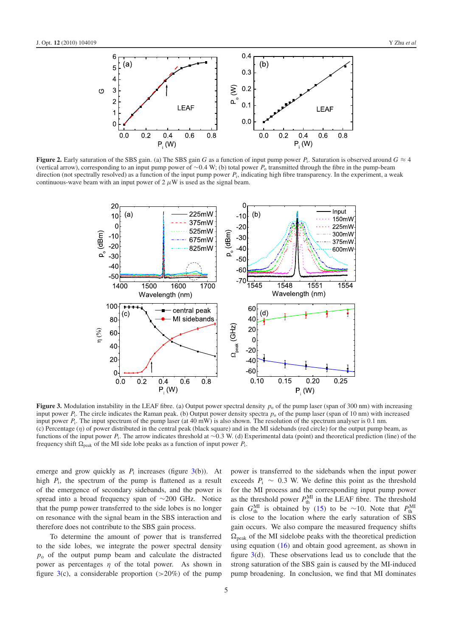<span id="page-5-0"></span>

<span id="page-5-1"></span>**Figure 2.** Early saturation of the SBS gain. (a) The SBS gain *G* as a function of input pump power *P*<sub>i</sub>. Saturation is observed around  $G \approx 4$ (vertical arrow), corresponding to an input pump power of ∼0.4 W; (b) total power *P*<sup>o</sup> transmitted through the fibre in the pump-beam direction (not spectrally resolved) as a function of the input pump power  $P_i$ , indicating high fibre transparency. In the experiment, a weak continuous-wave beam with an input power of  $2 \mu W$  is used as the signal beam.



**Figure 3.** Modulation instability in the LEAF fibre. (a) Output power spectral density  $p_0$  of the pump laser (span of 300 nm) with increasing input power *P*<sub>i</sub>. The circle indicates the Raman peak. (b) Output power density spectra  $p_0$  of the pump laser (span of 10 nm) with increased input power *P*<sub>i</sub>. The input spectrum of the pump laser (at 40 mW) is also shown. The resolution of the spectrum analyser is 0.1 nm. (c) Percentage  $(\eta)$  of power distributed in the central peak (black square) and in the MI sidebands (red circle) for the output pump beam, as functions of the input power *P*i. The arrow indicates threshold at ∼0.3 W. (d) Experimental data (point) and theoretical prediction (line) of the frequency shift  $\Omega_{\text{peak}}$  of the MI side lobe peaks as a function of input power  $P_1$ .

emerge and grow quickly as  $P_i$  increases (figure [3\(](#page-5-1)b)). At high  $P_i$ , the spectrum of the pump is flattened as a result of the emergence of secondary sidebands, and the power is spread into a broad frequency span of ∼200 GHz. Notice that the pump power transferred to the side lobes is no longer on resonance with the signal beam in the SBS interaction and therefore does not contribute to the SBS gain process.

To determine the amount of power that is transferred to the side lobes, we integrate the power spectral density  $p<sub>o</sub>$  of the output pump beam and calculate the distracted power as percentages  $\eta$  of the total power. As shown in figure  $3(c)$  $3(c)$ , a considerable proportion ( $>20\%$ ) of the pump

power is transferred to the sidebands when the input power exceeds  $P_i \sim 0.3$  W. We define this point as the threshold for the MI process and the corresponding input pump power as the threshold power  $P_{\text{th}}^{\text{MI}}$  in the LEAF fibre. The threshold gain  $G_{\text{th}}^{\text{MI}}$  is obtained by [\(15\)](#page-4-1) to be ~10. Note that  $P_{\text{th}}^{\text{MI}}$ is close to the location where the early saturation of SBS gain occurs. We also compare the measured frequency shifts  $\Omega_{\text{peak}}$  of the MI sidelobe peaks with the theoretical prediction using equation [\(16\)](#page-4-2) and obtain good agreement, as shown in figure  $3(d)$  $3(d)$ . These observations lead us to conclude that the strong saturation of the SBS gain is caused by the MI-induced pump broadening. In conclusion, we find that MI dominates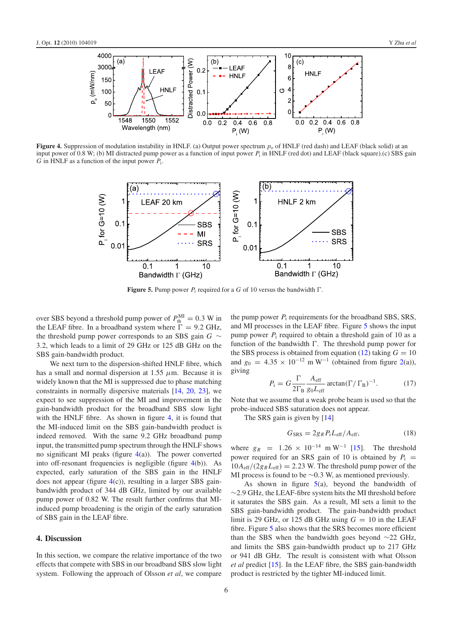<span id="page-6-0"></span>

<span id="page-6-1"></span>**Figure 4.** Suppression of modulation instability in HNLF. (a) Output power spectrum  $p_0$  of HNLF (red dash) and LEAF (black solid) at an input power of 0.8 W; (b) MI distracted pump power as a function of input power  $P_i$  in HNLF (red dot) and LEAF (black square).(c) SBS gain *G* in HNLF as a function of the input power *P*i.



**Figure 5.** Pump power  $P_i$  required for a G of 10 versus the bandwidth  $\Gamma$ .

over SBS beyond a threshold pump power of  $P_{\text{th}}^{\text{MI}} = 0.3 \text{ W}$  in the LEAF fibre. In a broadband system where  $\Gamma = 9.2$  GHz, the threshold pump power corresponds to an SBS gain *G* ∼ 3.2, which leads to a limit of 29 GHz or 125 dB GHz on the SBS gain-bandwidth product.

We next turn to the dispersion-shifted HNLF fibre, which has a small and normal dispersion at  $1.55 \mu$ m. Because it is widely known that the MI is suppressed due to phase matching constraints in normally dispersive materials [\[14,](#page-7-13) [20,](#page-7-19) [23\]](#page-7-21), we expect to see suppression of the MI and improvement in the gain-bandwidth product for the broadband SBS slow light with the HNLF fibre. As shown in figure [4,](#page-6-0) it is found that the MI-induced limit on the SBS gain-bandwidth product is indeed removed. With the same 9.2 GHz broadband pump input, the transmitted pump spectrum through the HNLF shows no significant MI peaks (figure  $4(a)$  $4(a)$ ). The power converted into off-resonant frequencies is negligible (figure [4\(](#page-6-0)b)). As expected, early saturation of the SBS gain in the HNLF does not appear (figure [4\(](#page-6-0)c)), resulting in a larger SBS gainbandwidth product of 344 dB GHz, limited by our available pump power of 0.82 W. The result further confirms that MIinduced pump broadening is the origin of the early saturation of SBS gain in the LEAF fibre.

#### **4. Discussion**

In this section, we compare the relative importance of the two effects that compete with SBS in our broadband SBS slow light system. Following the approach of Olsson *et al*, we compare the pump power *P*<sup>i</sup> requirements for the broadband SBS, SRS, and MI processes in the LEAF fibre. Figure [5](#page-6-1) shows the input pump power  $P_i$  required to obtain a threshold gain of 10 as a function of the bandwidth  $\Gamma$ . The threshold pump power for the SBS process is obtained from equation [\(12\)](#page-3-5) taking  $G = 10$ and  $g_0 = 4.35 \times 10^{-12}$  m W<sup>-1</sup> (obtained from figure [2\(](#page-5-0)a)), giving

$$
P_{\rm i} = G \frac{\Gamma}{2\Gamma_{\rm B}} \frac{A_{\rm eff}}{g_0 L_{\rm eff}} \arctan(\Gamma/\Gamma_{\rm B})^{-1}.
$$
 (17)

Note that we assume that a weak probe beam is used so that the probe-induced SBS saturation does not appear.

The SRS gain is given by [\[14\]](#page-7-13)

$$
G_{\rm SRS} = 2g_R P_{\rm i} L_{\rm eff} / A_{\rm eff},\tag{18}
$$

where  $g_R = 1.26 \times 10^{-14}$  m W<sup>-1</sup> [\[15\]](#page-7-14). The threshold power required for an SRS gain of 10 is obtained by  $P_i$  =  $10A_{\text{eff}}/(2g_R L_{\text{eff}}) = 2.23$  W. The threshold pump power of the MI process is found to be ∼0.3 W, as mentioned previously.

As shown in figure  $5(a)$  $5(a)$ , beyond the bandwidth of ∼2.9 GHz, the LEAF-fibre system hits the MI threshold before it saturates the SBS gain. As a result, MI sets a limit to the SBS gain-bandwidth product. The gain-bandwidth product limit is 29 GHz, or 125 dB GHz using  $G = 10$  in the LEAF fibre. Figure [5](#page-6-1) also shows that the SRS becomes more efficient than the SBS when the bandwidth goes beyond ∼22 GHz, and limits the SBS gain-bandwidth product up to 217 GHz or 941 dB GHz. The result is consistent with what Olsson *et al* predict [\[15\]](#page-7-14). In the LEAF fibre, the SBS gain-bandwidth product is restricted by the tighter MI-induced limit.